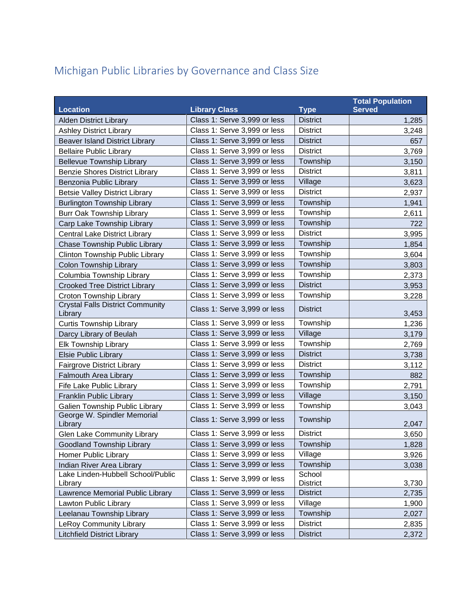## Michigan Public Libraries by Governance and Class Size

|                                                    |                              |                           | <b>Total Population</b> |
|----------------------------------------------------|------------------------------|---------------------------|-------------------------|
| <b>Location</b>                                    | <b>Library Class</b>         | <b>Type</b>               | <b>Served</b>           |
| <b>Alden District Library</b>                      | Class 1: Serve 3,999 or less | <b>District</b>           | 1,285                   |
| <b>Ashley District Library</b>                     | Class 1: Serve 3,999 or less | <b>District</b>           | 3,248                   |
| <b>Beaver Island District Library</b>              | Class 1: Serve 3,999 or less | <b>District</b>           | 657                     |
| <b>Bellaire Public Library</b>                     | Class 1: Serve 3,999 or less | <b>District</b>           | 3,769                   |
| <b>Bellevue Township Library</b>                   | Class 1: Serve 3,999 or less | Township                  | 3,150                   |
| <b>Benzie Shores District Library</b>              | Class 1: Serve 3,999 or less | <b>District</b>           | 3,811                   |
| Benzonia Public Library                            | Class 1: Serve 3,999 or less | Village                   | 3,623                   |
| <b>Betsie Valley District Library</b>              | Class 1: Serve 3,999 or less | <b>District</b>           | 2,937                   |
| <b>Burlington Township Library</b>                 | Class 1: Serve 3,999 or less | Township                  | 1,941                   |
| <b>Burr Oak Township Library</b>                   | Class 1: Serve 3,999 or less | Township                  | 2,611                   |
| Carp Lake Township Library                         | Class 1: Serve 3,999 or less | Township                  | 722                     |
| Central Lake District Library                      | Class 1: Serve 3,999 or less | <b>District</b>           | 3,995                   |
| Chase Township Public Library                      | Class 1: Serve 3,999 or less | Township                  | 1,854                   |
| Clinton Township Public Library                    | Class 1: Serve 3,999 or less | Township                  | 3,604                   |
| <b>Colon Township Library</b>                      | Class 1: Serve 3,999 or less | Township                  | 3,803                   |
| Columbia Township Library                          | Class 1: Serve 3,999 or less | Township                  | 2,373                   |
| <b>Crooked Tree District Library</b>               | Class 1: Serve 3,999 or less | <b>District</b>           | 3,953                   |
| Croton Township Library                            | Class 1: Serve 3,999 or less | Township                  | 3,228                   |
| <b>Crystal Falls District Community</b><br>Library | Class 1: Serve 3,999 or less | <b>District</b>           | 3,453                   |
| <b>Curtis Township Library</b>                     | Class 1: Serve 3,999 or less | Township                  | 1,236                   |
| Darcy Library of Beulah                            | Class 1: Serve 3,999 or less | Village                   | 3,179                   |
| <b>Elk Township Library</b>                        | Class 1: Serve 3,999 or less | Township                  | 2,769                   |
| <b>Elsie Public Library</b>                        | Class 1: Serve 3,999 or less | <b>District</b>           | 3,738                   |
| <b>Fairgrove District Library</b>                  | Class 1: Serve 3,999 or less | <b>District</b>           | 3,112                   |
| Falmouth Area Library                              | Class 1: Serve 3,999 or less | Township                  | 882                     |
| Fife Lake Public Library                           | Class 1: Serve 3,999 or less | Township                  | 2,791                   |
| Franklin Public Library                            | Class 1: Serve 3,999 or less | Village                   | 3,150                   |
| Galien Township Public Library                     | Class 1: Serve 3,999 or less | Township                  | 3,043                   |
| George W. Spindler Memorial<br>Library             | Class 1: Serve 3,999 or less | Township                  | 2,047                   |
| <b>Glen Lake Community Library</b>                 | Class 1: Serve 3,999 or less | <b>District</b>           | 3,650                   |
| Goodland Township Library                          | Class 1: Serve 3,999 or less | Township                  | 1,828                   |
| <b>Homer Public Library</b>                        | Class 1: Serve 3,999 or less | Village                   | 3,926                   |
| Indian River Area Library                          | Class 1: Serve 3,999 or less | Township                  | 3,038                   |
| Lake Linden-Hubbell School/Public<br>Library       | Class 1: Serve 3,999 or less | School<br><b>District</b> | 3,730                   |
| Lawrence Memorial Public Library                   | Class 1: Serve 3,999 or less | <b>District</b>           | 2,735                   |
| Lawton Public Library                              | Class 1: Serve 3,999 or less | Village                   | 1,900                   |
| Leelanau Township Library                          | Class 1: Serve 3,999 or less | Township                  | 2,027                   |
| <b>LeRoy Community Library</b>                     | Class 1: Serve 3,999 or less | <b>District</b>           | 2,835                   |
| <b>Litchfield District Library</b>                 | Class 1: Serve 3,999 or less | <b>District</b>           | 2,372                   |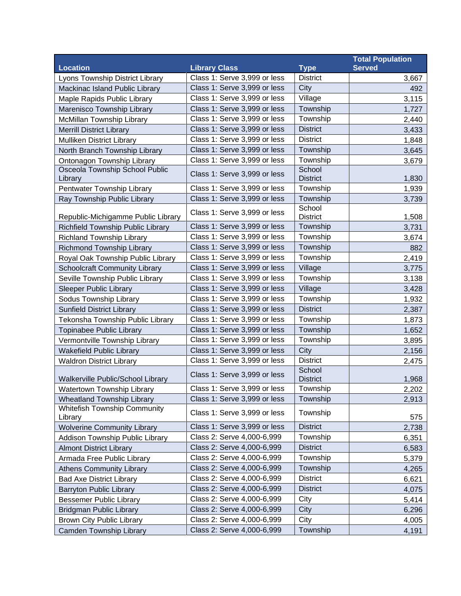|                                                |                              |                 | <b>Total Population</b> |
|------------------------------------------------|------------------------------|-----------------|-------------------------|
| <b>Location</b>                                | <b>Library Class</b>         | <b>Type</b>     | <b>Served</b>           |
| Lyons Township District Library                | Class 1: Serve 3,999 or less | <b>District</b> | 3,667                   |
| Mackinac Island Public Library                 | Class 1: Serve 3,999 or less | City            | 492                     |
| Maple Rapids Public Library                    | Class 1: Serve 3,999 or less | Village         | 3,115                   |
| Marenisco Township Library                     | Class 1: Serve 3,999 or less | Township        | 1,727                   |
| McMillan Township Library                      | Class 1: Serve 3,999 or less | Township        | 2,440                   |
| <b>Merrill District Library</b>                | Class 1: Serve 3,999 or less | <b>District</b> | 3,433                   |
| Mulliken District Library                      | Class 1: Serve 3,999 or less | <b>District</b> | 1,848                   |
| North Branch Township Library                  | Class 1: Serve 3,999 or less | Township        | 3,645                   |
| Ontonagon Township Library                     | Class 1: Serve 3,999 or less | Township        | 3,679                   |
| Osceola Township School Public                 | Class 1: Serve 3,999 or less | School          |                         |
| Library                                        |                              | <b>District</b> | 1,830                   |
| Pentwater Township Library                     | Class 1: Serve 3,999 or less | Township        | 1,939                   |
| Ray Township Public Library                    | Class 1: Serve 3,999 or less | Township        | 3,739                   |
|                                                | Class 1: Serve 3,999 or less | School          |                         |
| Republic-Michigamme Public Library             |                              | <b>District</b> | 1,508                   |
| Richfield Township Public Library              | Class 1: Serve 3,999 or less | Township        | 3,731                   |
| <b>Richland Township Library</b>               | Class 1: Serve 3,999 or less | Township        | 3,674                   |
| <b>Richmond Township Library</b>               | Class 1: Serve 3,999 or less | Township        | 882                     |
| Royal Oak Township Public Library              | Class 1: Serve 3,999 or less | Township        | 2,419                   |
| <b>Schoolcraft Community Library</b>           | Class 1: Serve 3,999 or less | Village         | 3,775                   |
| Seville Township Public Library                | Class 1: Serve 3,999 or less | Township        | 3,138                   |
| <b>Sleeper Public Library</b>                  | Class 1: Serve 3,999 or less | Village         | 3,428                   |
| Sodus Township Library                         | Class 1: Serve 3,999 or less | Township        | 1,932                   |
| <b>Sunfield District Library</b>               | Class 1: Serve 3,999 or less | <b>District</b> | 2,387                   |
| Tekonsha Township Public Library               | Class 1: Serve 3,999 or less | Township        | 1,873                   |
| Topinabee Public Library                       | Class 1: Serve 3,999 or less | Township        | 1,652                   |
| Vermontville Township Library                  | Class 1: Serve 3,999 or less | Township        | 3,895                   |
| <b>Wakefield Public Library</b>                | Class 1: Serve 3,999 or less | City            | 2,156                   |
| <b>Waldron District Library</b>                | Class 1: Serve 3,999 or less | <b>District</b> | 2,475                   |
|                                                | Class 1: Serve 3,999 or less | School          |                         |
| Walkerville Public/School Library              |                              | <b>District</b> | 1,968                   |
| <b>Watertown Township Library</b>              | Class 1: Serve 3,999 or less | Township        | 2,202                   |
| <b>Wheatland Township Library</b>              | Class 1: Serve 3,999 or less | Township        | 2,913                   |
| <b>Whitefish Township Community</b><br>Library | Class 1: Serve 3,999 or less | Township        | 575                     |
| <b>Wolverine Community Library</b>             | Class 1: Serve 3,999 or less | <b>District</b> | 2,738                   |
| Addison Township Public Library                | Class 2: Serve 4,000-6,999   | Township        | 6,351                   |
| <b>Almont District Library</b>                 | Class 2: Serve 4,000-6,999   | <b>District</b> | 6,583                   |
| Armada Free Public Library                     | Class 2: Serve 4,000-6,999   | Township        | 5,379                   |
| <b>Athens Community Library</b>                | Class 2: Serve 4,000-6,999   | Township        | 4,265                   |
| <b>Bad Axe District Library</b>                | Class 2: Serve 4,000-6,999   | <b>District</b> | 6,621                   |
| <b>Barryton Public Library</b>                 | Class 2: Serve 4,000-6,999   | <b>District</b> | 4,075                   |
| <b>Bessemer Public Library</b>                 | Class 2: Serve 4,000-6,999   | City            | 5,414                   |
| <b>Bridgman Public Library</b>                 | Class 2: Serve 4,000-6,999   | City            | 6,296                   |
| <b>Brown City Public Library</b>               | Class 2: Serve 4,000-6,999   | City            | 4,005                   |
| Camden Township Library                        | Class 2: Serve 4,000-6,999   | Township        | 4,191                   |
|                                                |                              |                 |                         |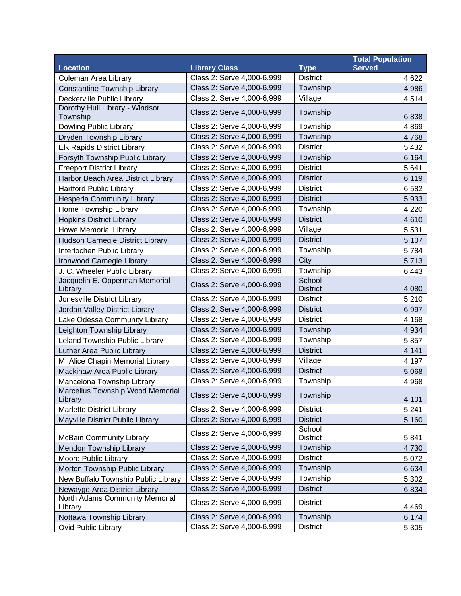|                                             |                            |                           | <b>Total Population</b> |
|---------------------------------------------|----------------------------|---------------------------|-------------------------|
| <b>Location</b>                             | <b>Library Class</b>       | <b>Type</b>               | <b>Served</b>           |
| Coleman Area Library                        | Class 2: Serve 4,000-6,999 | <b>District</b>           | 4,622                   |
| <b>Constantine Township Library</b>         | Class 2: Serve 4,000-6,999 | Township                  | 4,986                   |
| Deckerville Public Library                  | Class 2: Serve 4,000-6,999 | Village                   | 4,514                   |
| Dorothy Hull Library - Windsor<br>Township  | Class 2: Serve 4,000-6,999 | Township                  | 6,838                   |
| Dowling Public Library                      | Class 2: Serve 4,000-6,999 | Township                  | 4,869                   |
| Dryden Township Library                     | Class 2: Serve 4,000-6,999 | Township                  | 4,768                   |
| Elk Rapids District Library                 | Class 2: Serve 4,000-6,999 | <b>District</b>           | 5,432                   |
| Forsyth Township Public Library             | Class 2: Serve 4,000-6,999 | Township                  | 6,164                   |
| <b>Freeport District Library</b>            | Class 2: Serve 4,000-6,999 | <b>District</b>           | 5,641                   |
| Harbor Beach Area District Library          | Class 2: Serve 4,000-6,999 | <b>District</b>           | 6,119                   |
| <b>Hartford Public Library</b>              | Class 2: Serve 4,000-6,999 | <b>District</b>           | 6,582                   |
| <b>Hesperia Community Library</b>           | Class 2: Serve 4,000-6,999 | <b>District</b>           | 5,933                   |
| Home Township Library                       | Class 2: Serve 4,000-6,999 | Township                  | 4,220                   |
| <b>Hopkins District Library</b>             | Class 2: Serve 4,000-6,999 | <b>District</b>           | 4,610                   |
| <b>Howe Memorial Library</b>                | Class 2: Serve 4,000-6,999 | Village                   | 5,531                   |
| Hudson Carnegie District Library            | Class 2: Serve 4,000-6,999 | <b>District</b>           | 5,107                   |
| Interlochen Public Library                  | Class 2: Serve 4,000-6,999 | Township                  | 5,784                   |
| Ironwood Carnegie Library                   | Class 2: Serve 4,000-6,999 | City                      | 5,713                   |
| J. C. Wheeler Public Library                | Class 2: Serve 4,000-6,999 | Township                  | 6,443                   |
| Jacquelin E. Opperman Memorial<br>Library   | Class 2: Serve 4,000-6,999 | School<br><b>District</b> | 4,080                   |
| Jonesville District Library                 | Class 2: Serve 4,000-6,999 | <b>District</b>           | 5,210                   |
| Jordan Valley District Library              | Class 2: Serve 4,000-6,999 | <b>District</b>           | 6,997                   |
| Lake Odessa Community Library               | Class 2: Serve 4,000-6,999 | <b>District</b>           | 4,168                   |
| Leighton Township Library                   | Class 2: Serve 4,000-6,999 | Township                  | 4,934                   |
| Leland Township Public Library              | Class 2: Serve 4,000-6,999 | Township                  | 5,857                   |
| Luther Area Public Library                  | Class 2: Serve 4,000-6,999 | <b>District</b>           | 4,141                   |
| M. Alice Chapin Memorial Library            | Class 2: Serve 4,000-6,999 | Village                   | 4,197                   |
| Mackinaw Area Public Library                | Class 2: Serve 4,000-6,999 | <b>District</b>           | 5,068                   |
| Mancelona Township Library                  | Class 2: Serve 4,000-6,999 | Township                  | 4,968                   |
| Marcellus Township Wood Memorial<br>Library | Class 2: Serve 4,000-6,999 | Township                  | 4,101                   |
| <b>Marlette District Library</b>            | Class 2: Serve 4,000-6,999 | <b>District</b>           | 5,241                   |
| Mayville District Public Library            | Class 2: Serve 4,000-6,999 | <b>District</b>           | 5,160                   |
| <b>McBain Community Library</b>             | Class 2: Serve 4,000-6,999 | School<br><b>District</b> | 5,841                   |
| Mendon Township Library                     | Class 2: Serve 4,000-6,999 | Township                  | 4,730                   |
| Moore Public Library                        | Class 2: Serve 4,000-6,999 | <b>District</b>           | 5,072                   |
| Morton Township Public Library              | Class 2: Serve 4,000-6,999 | Township                  | 6,634                   |
| New Buffalo Township Public Library         | Class 2: Serve 4,000-6,999 | Township                  | 5,302                   |
| Newaygo Area District Library               | Class 2: Serve 4,000-6,999 | <b>District</b>           | 6,834                   |
| North Adams Community Memorial<br>Library   | Class 2: Serve 4,000-6,999 | <b>District</b>           | 4,469                   |
| Nottawa Township Library                    | Class 2: Serve 4,000-6,999 | Township                  | 6,174                   |
| Ovid Public Library                         | Class 2: Serve 4,000-6,999 | <b>District</b>           | 5,305                   |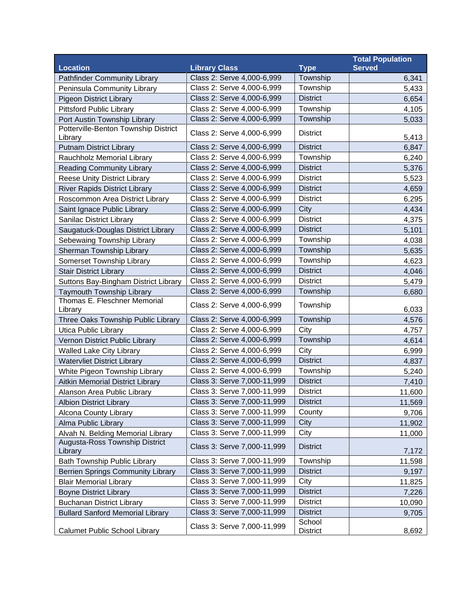|                                                 |                             |                           | <b>Total Population</b> |
|-------------------------------------------------|-----------------------------|---------------------------|-------------------------|
| <b>Location</b>                                 | <b>Library Class</b>        | <b>Type</b>               | <b>Served</b>           |
| <b>Pathfinder Community Library</b>             | Class 2: Serve 4,000-6,999  | Township                  | 6,341                   |
| Peninsula Community Library                     | Class 2: Serve 4,000-6,999  | Township                  | 5,433                   |
| <b>Pigeon District Library</b>                  | Class 2: Serve 4,000-6,999  | <b>District</b>           | 6,654                   |
| <b>Pittsford Public Library</b>                 | Class 2: Serve 4,000-6,999  | Township                  | 4,105                   |
| Port Austin Township Library                    | Class 2: Serve 4,000-6,999  | Township                  | 5,033                   |
| Potterville-Benton Township District<br>Library | Class 2: Serve 4,000-6,999  | <b>District</b>           | 5,413                   |
| <b>Putnam District Library</b>                  | Class 2: Serve 4,000-6,999  | <b>District</b>           | 6,847                   |
| Rauchholz Memorial Library                      | Class 2: Serve 4,000-6,999  | Township                  | 6,240                   |
| <b>Reading Community Library</b>                | Class 2: Serve 4,000-6,999  | <b>District</b>           | 5,376                   |
| <b>Reese Unity District Library</b>             | Class 2: Serve 4,000-6,999  | <b>District</b>           | 5,523                   |
| <b>River Rapids District Library</b>            | Class 2: Serve 4,000-6,999  | <b>District</b>           | 4,659                   |
| Roscommon Area District Library                 | Class 2: Serve 4,000-6,999  | <b>District</b>           | 6,295                   |
| Saint Ignace Public Library                     | Class 2: Serve 4,000-6,999  | City                      | 4,434                   |
| Sanilac District Library                        | Class 2: Serve 4,000-6,999  | <b>District</b>           | 4,375                   |
| Saugatuck-Douglas District Library              | Class 2: Serve 4,000-6,999  | <b>District</b>           | 5,101                   |
| Sebewaing Township Library                      | Class 2: Serve 4,000-6,999  | Township                  | 4,038                   |
| Sherman Township Library                        | Class 2: Serve 4,000-6,999  | Township                  | 5,635                   |
| Somerset Township Library                       | Class 2: Serve 4,000-6,999  | Township                  | 4,623                   |
| <b>Stair District Library</b>                   | Class 2: Serve 4,000-6,999  | <b>District</b>           | 4,046                   |
| Suttons Bay-Bingham District Library            | Class 2: Serve 4,000-6,999  | <b>District</b>           | 5,479                   |
| Taymouth Township Library                       | Class 2: Serve 4,000-6,999  | Township                  | 6,680                   |
| Thomas E. Fleschner Memorial<br>Library         | Class 2: Serve 4,000-6,999  | Township                  | 6,033                   |
| Three Oaks Township Public Library              | Class 2: Serve 4,000-6,999  | Township                  | 4,576                   |
| <b>Utica Public Library</b>                     | Class 2: Serve 4,000-6,999  | City                      | 4,757                   |
| Vernon District Public Library                  | Class 2: Serve 4,000-6,999  | Township                  | 4,614                   |
| <b>Walled Lake City Library</b>                 | Class 2: Serve 4,000-6,999  | City                      | 6,999                   |
| <b>Watervliet District Library</b>              | Class 2: Serve 4,000-6,999  | <b>District</b>           | 4,837                   |
| White Pigeon Township Library                   | Class 2: Serve 4,000-6,999  | Township                  | 5,240                   |
| Aitkin Memorial District Library                | Class 3: Serve 7,000-11,999 | <b>District</b>           | 7,410                   |
| Alanson Area Public Library                     | Class 3: Serve 7,000-11,999 | <b>District</b>           | 11,600                  |
| <b>Albion District Library</b>                  | Class 3: Serve 7,000-11,999 | <b>District</b>           | 11,569                  |
| Alcona County Library                           | Class 3: Serve 7,000-11,999 | County                    | 9,706                   |
| Alma Public Library                             | Class 3: Serve 7,000-11,999 | City                      | 11,902                  |
| Alvah N. Belding Memorial Library               | Class 3: Serve 7,000-11,999 | City                      | 11,000                  |
| Augusta-Ross Township District<br>Library       | Class 3: Serve 7,000-11,999 | <b>District</b>           | 7,172                   |
| Bath Township Public Library                    | Class 3: Serve 7,000-11,999 | Township                  | 11,598                  |
| Berrien Springs Community Library               | Class 3: Serve 7,000-11,999 | <b>District</b>           | 9,197                   |
| <b>Blair Memorial Library</b>                   | Class 3: Serve 7,000-11,999 | City                      | 11,825                  |
| <b>Boyne District Library</b>                   | Class 3: Serve 7,000-11,999 | <b>District</b>           | 7,226                   |
| <b>Buchanan District Library</b>                | Class 3: Serve 7,000-11,999 | <b>District</b>           | 10,090                  |
| <b>Bullard Sanford Memorial Library</b>         | Class 3: Serve 7,000-11,999 | <b>District</b>           | 9,705                   |
| <b>Calumet Public School Library</b>            | Class 3: Serve 7,000-11,999 | School<br><b>District</b> | 8,692                   |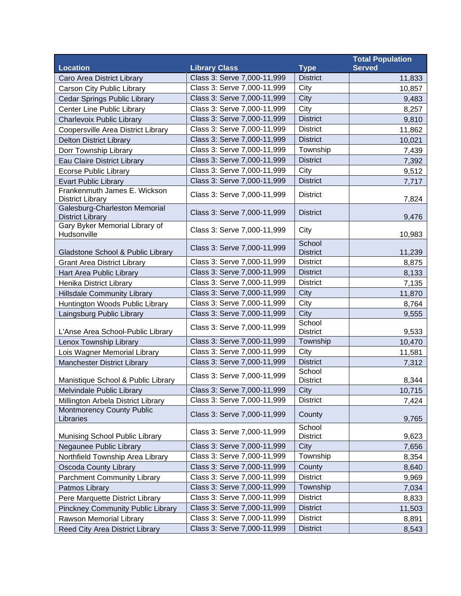|                                                          |                             |                           | <b>Total Population</b> |
|----------------------------------------------------------|-----------------------------|---------------------------|-------------------------|
| <b>Location</b>                                          | <b>Library Class</b>        | <b>Type</b>               | <b>Served</b>           |
| Caro Area District Library                               | Class 3: Serve 7,000-11,999 | <b>District</b>           | 11,833                  |
| Carson City Public Library                               | Class 3: Serve 7,000-11,999 | City                      | 10,857                  |
| Cedar Springs Public Library                             | Class 3: Serve 7,000-11,999 | City                      | 9,483                   |
| Center Line Public Library                               | Class 3: Serve 7,000-11,999 | City                      | 8,257                   |
| Charlevoix Public Library                                | Class 3: Serve 7,000-11,999 | <b>District</b>           | 9,810                   |
| Coopersville Area District Library                       | Class 3: Serve 7,000-11,999 | <b>District</b>           | 11,862                  |
| <b>Delton District Library</b>                           | Class 3: Serve 7,000-11,999 | <b>District</b>           | 10,021                  |
| Dorr Township Library                                    | Class 3: Serve 7,000-11,999 | Township                  | 7,439                   |
| Eau Claire District Library                              | Class 3: Serve 7,000-11,999 | <b>District</b>           | 7,392                   |
| <b>Ecorse Public Library</b>                             | Class 3: Serve 7,000-11,999 | City                      | 9,512                   |
| <b>Evart Public Library</b>                              | Class 3: Serve 7,000-11,999 | <b>District</b>           | 7,717                   |
| Frankenmuth James E. Wickson<br><b>District Library</b>  | Class 3: Serve 7,000-11,999 | <b>District</b>           | 7,824                   |
| Galesburg-Charleston Memorial<br><b>District Library</b> | Class 3: Serve 7,000-11,999 | <b>District</b>           | 9,476                   |
| Gary Byker Memorial Library of<br>Hudsonville            | Class 3: Serve 7,000-11,999 | City                      | 10,983                  |
|                                                          | Class 3: Serve 7,000-11,999 | School                    |                         |
| Gladstone School & Public Library                        |                             | <b>District</b>           | 11,239                  |
| <b>Grant Area District Library</b>                       | Class 3: Serve 7,000-11,999 | <b>District</b>           | 8,875                   |
| Hart Area Public Library                                 | Class 3: Serve 7,000-11,999 | <b>District</b>           | 8,133                   |
| Henika District Library                                  | Class 3: Serve 7,000-11,999 | <b>District</b>           | 7,135                   |
| <b>Hillsdale Community Library</b>                       | Class 3: Serve 7,000-11,999 | City                      | 11,870                  |
| Huntington Woods Public Library                          | Class 3: Serve 7,000-11,999 | City                      | 8,764                   |
| Laingsburg Public Library                                | Class 3: Serve 7,000-11,999 | City                      | 9,555                   |
| L'Anse Area School-Public Library                        | Class 3: Serve 7,000-11,999 | School<br><b>District</b> | 9,533                   |
| Lenox Township Library                                   | Class 3: Serve 7,000-11,999 | Township                  | 10,470                  |
| Lois Wagner Memorial Library                             | Class 3: Serve 7,000-11,999 | City                      | 11,581                  |
| Manchester District Library                              | Class 3: Serve 7,000-11,999 | <b>District</b>           | 7,312                   |
| Manistique School & Public Library                       | Class 3: Serve 7,000-11,999 | School<br><b>District</b> | 8,344                   |
| Melvindale Public Library                                | Class 3: Serve 7,000-11,999 | City                      | 10,715                  |
| Millington Arbela District Library                       | Class 3: Serve 7,000-11,999 | <b>District</b>           | 7,424                   |
| <b>Montmorency County Public</b><br>Libraries            | Class 3: Serve 7,000-11,999 | County                    | 9,765                   |
| Munising School Public Library                           | Class 3: Serve 7,000-11,999 | School<br><b>District</b> | 9,623                   |
| Negaunee Public Library                                  | Class 3: Serve 7,000-11,999 | City                      | 7,656                   |
| Northfield Township Area Library                         | Class 3: Serve 7,000-11,999 | Township                  | 8,354                   |
| Oscoda County Library                                    | Class 3: Serve 7,000-11,999 | County                    | 8,640                   |
| <b>Parchment Community Library</b>                       | Class 3: Serve 7,000-11,999 | <b>District</b>           | 9,969                   |
| Patmos Library                                           | Class 3: Serve 7,000-11,999 | Township                  | 7,034                   |
| Pere Marquette District Library                          | Class 3: Serve 7,000-11,999 | <b>District</b>           | 8,833                   |
| <b>Pinckney Community Public Library</b>                 | Class 3: Serve 7,000-11,999 | <b>District</b>           | 11,503                  |
| Rawson Memorial Library                                  | Class 3: Serve 7,000-11,999 | <b>District</b>           | 8,891                   |
| Reed City Area District Library                          | Class 3: Serve 7,000-11,999 | <b>District</b>           | 8,543                   |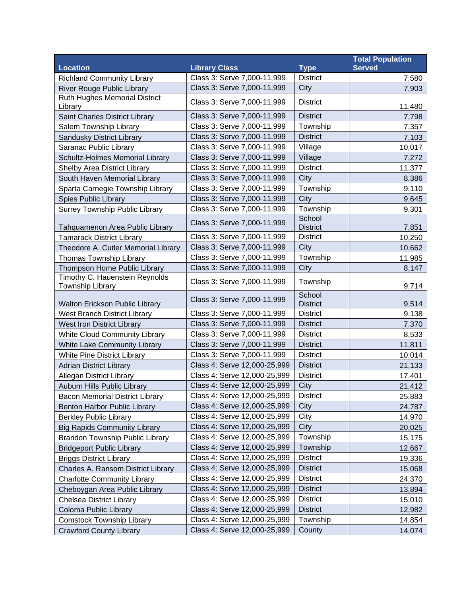|                                                    |                              |                           | <b>Total Population</b> |
|----------------------------------------------------|------------------------------|---------------------------|-------------------------|
| <b>Location</b>                                    | <b>Library Class</b>         | <b>Type</b>               | <b>Served</b>           |
| <b>Richland Community Library</b>                  | Class 3: Serve 7,000-11,999  | <b>District</b>           | 7,580                   |
| <b>River Rouge Public Library</b>                  | Class 3: Serve 7,000-11,999  | <b>City</b>               | 7,903                   |
| Ruth Hughes Memorial District<br>Library           | Class 3: Serve 7,000-11,999  | <b>District</b>           | 11,480                  |
| Saint Charles District Library                     | Class 3: Serve 7,000-11,999  | <b>District</b>           | 7,798                   |
| Salem Township Library                             | Class 3: Serve 7,000-11,999  | Township                  | 7,357                   |
| Sandusky District Library                          | Class 3: Serve 7,000-11,999  | <b>District</b>           | 7,103                   |
| Saranac Public Library                             | Class 3: Serve 7,000-11,999  | Village                   | 10,017                  |
| Schultz-Holmes Memorial Library                    | Class 3: Serve 7,000-11,999  | Village                   | 7,272                   |
| Shelby Area District Library                       | Class 3: Serve 7,000-11,999  | <b>District</b>           | 11,377                  |
| South Haven Memorial Library                       | Class 3: Serve 7,000-11,999  | City                      | 8,386                   |
| Sparta Carnegie Township Library                   | Class 3: Serve 7,000-11,999  | Township                  | 9,110                   |
| Spies Public Library                               | Class 3: Serve 7,000-11,999  | City                      | 9,645                   |
| <b>Surrey Township Public Library</b>              | Class 3: Serve 7,000-11,999  | Township                  | 9,301                   |
| Tahquamenon Area Public Library                    | Class 3: Serve 7,000-11,999  | School<br><b>District</b> | 7,851                   |
| <b>Tamarack District Library</b>                   | Class 3: Serve 7,000-11,999  | <b>District</b>           | 10,250                  |
| Theodore A. Cutler Memorial Library                | Class 3: Serve 7,000-11,999  | City                      | 10,662                  |
| Thomas Township Library                            | Class 3: Serve 7,000-11,999  | Township                  | 11,985                  |
| Thompson Home Public Library                       | Class 3: Serve 7,000-11,999  | City                      | 8,147                   |
| Timothy C. Hauenstein Reynolds<br>Township Library | Class 3: Serve 7,000-11,999  | Township                  | 9,714                   |
| Walton Erickson Public Library                     | Class 3: Serve 7,000-11,999  | School<br><b>District</b> | 9,514                   |
| West Branch District Library                       | Class 3: Serve 7,000-11,999  | <b>District</b>           | 9,138                   |
| <b>West Iron District Library</b>                  | Class 3: Serve 7,000-11,999  | <b>District</b>           | 7,370                   |
| <b>White Cloud Community Library</b>               | Class 3: Serve 7,000-11,999  | <b>District</b>           | 8,533                   |
| White Lake Community Library                       | Class 3: Serve 7,000-11,999  | <b>District</b>           | 11,811                  |
| White Pine District Library                        | Class 3: Serve 7,000-11,999  | <b>District</b>           | 10,014                  |
| <b>Adrian District Library</b>                     | Class 4: Serve 12,000-25,999 | <b>District</b>           | 21,133                  |
| <b>Allegan District Library</b>                    | Class 4: Serve 12,000-25,999 | <b>District</b>           | 17,401                  |
| Auburn Hills Public Library                        | Class 4: Serve 12,000-25,999 | City                      | 21,412                  |
| <b>Bacon Memorial District Library</b>             | Class 4: Serve 12,000-25,999 | <b>District</b>           | 25,883                  |
| Benton Harbor Public Library                       | Class 4: Serve 12,000-25,999 | City                      | 24,787                  |
| <b>Berkley Public Library</b>                      | Class 4: Serve 12,000-25,999 | City                      | 14,970                  |
| <b>Big Rapids Community Library</b>                | Class 4: Serve 12,000-25,999 | City                      | 20,025                  |
| Brandon Township Public Library                    | Class 4: Serve 12,000-25,999 | Township                  | 15,175                  |
| <b>Bridgeport Public Library</b>                   | Class 4: Serve 12,000-25,999 | Township                  | 12,667                  |
| <b>Briggs District Library</b>                     | Class 4: Serve 12,000-25,999 | <b>District</b>           | 19,336                  |
| Charles A. Ransom District Library                 | Class 4: Serve 12,000-25,999 | <b>District</b>           | 15,068                  |
| <b>Charlotte Community Library</b>                 | Class 4: Serve 12,000-25,999 | <b>District</b>           | 24,370                  |
| Cheboygan Area Public Library                      | Class 4: Serve 12,000-25,999 | <b>District</b>           | 13,894                  |
| <b>Chelsea District Library</b>                    | Class 4: Serve 12,000-25,999 | <b>District</b>           | 15,010                  |
| Coloma Public Library                              | Class 4: Serve 12,000-25,999 | <b>District</b>           | 12,982                  |
| <b>Comstock Township Library</b>                   | Class 4: Serve 12,000-25,999 | Township                  | 14,854                  |
| <b>Crawford County Library</b>                     | Class 4: Serve 12,000-25,999 | County                    | 14,074                  |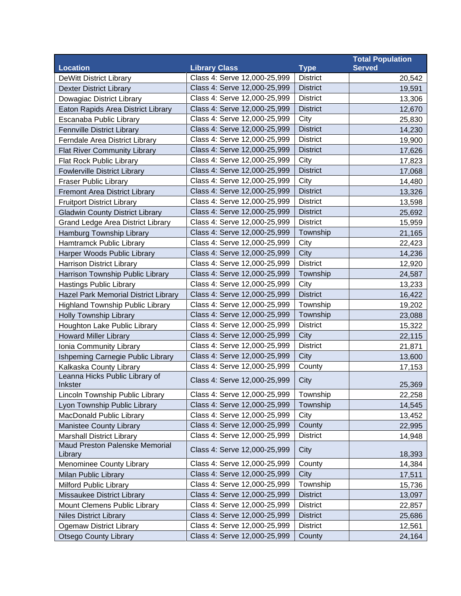|                                          |                              |                 | <b>Total Population</b> |
|------------------------------------------|------------------------------|-----------------|-------------------------|
| <b>Location</b>                          | <b>Library Class</b>         | <b>Type</b>     | <b>Served</b>           |
| <b>DeWitt District Library</b>           | Class 4: Serve 12,000-25,999 | <b>District</b> | 20,542                  |
| <b>Dexter District Library</b>           | Class 4: Serve 12,000-25,999 | <b>District</b> | 19,591                  |
| Dowagiac District Library                | Class 4: Serve 12,000-25,999 | <b>District</b> | 13,306                  |
| Eaton Rapids Area District Library       | Class 4: Serve 12,000-25,999 | <b>District</b> | 12,670                  |
| Escanaba Public Library                  | Class 4: Serve 12,000-25,999 | City            | 25,830                  |
| Fennville District Library               | Class 4: Serve 12,000-25,999 | <b>District</b> | 14,230                  |
| Ferndale Area District Library           | Class 4: Serve 12,000-25,999 | <b>District</b> | 19,900                  |
| <b>Flat River Community Library</b>      | Class 4: Serve 12,000-25,999 | <b>District</b> | 17,626                  |
| Flat Rock Public Library                 | Class 4: Serve 12,000-25,999 | City            | 17,823                  |
| <b>Fowlerville District Library</b>      | Class 4: Serve 12,000-25,999 | <b>District</b> | 17,068                  |
| <b>Fraser Public Library</b>             | Class 4: Serve 12,000-25,999 | City            | 14,480                  |
| <b>Fremont Area District Library</b>     | Class 4: Serve 12,000-25,999 | <b>District</b> | 13,326                  |
| <b>Fruitport District Library</b>        | Class 4: Serve 12,000-25,999 | <b>District</b> | 13,598                  |
| <b>Gladwin County District Library</b>   | Class 4: Serve 12,000-25,999 | <b>District</b> | 25,692                  |
| <b>Grand Ledge Area District Library</b> | Class 4: Serve 12,000-25,999 | <b>District</b> | 15,959                  |
| Hamburg Township Library                 | Class 4: Serve 12,000-25,999 | Township        | 21,165                  |
| Hamtramck Public Library                 | Class 4: Serve 12,000-25,999 | City            | 22,423                  |
| Harper Woods Public Library              | Class 4: Serve 12,000-25,999 | City            | 14,236                  |
| <b>Harrison District Library</b>         | Class 4: Serve 12,000-25,999 | <b>District</b> | 12,920                  |
| Harrison Township Public Library         | Class 4: Serve 12,000-25,999 | Township        | 24,587                  |
| <b>Hastings Public Library</b>           | Class 4: Serve 12,000-25,999 | City            | 13,233                  |
| Hazel Park Memorial District Library     | Class 4: Serve 12,000-25,999 | <b>District</b> | 16,422                  |
| <b>Highland Township Public Library</b>  | Class 4: Serve 12,000-25,999 | Township        | 19,202                  |
| <b>Holly Township Library</b>            | Class 4: Serve 12,000-25,999 | Township        | 23,088                  |
| Houghton Lake Public Library             | Class 4: Serve 12,000-25,999 | <b>District</b> | 15,322                  |
| <b>Howard Miller Library</b>             | Class 4: Serve 12,000-25,999 | City            | 22,115                  |
| Ionia Community Library                  | Class 4: Serve 12,000-25,999 | <b>District</b> | 21,871                  |
| Ishpeming Carnegie Public Library        | Class 4: Serve 12,000-25,999 | City            | 13,600                  |
| Kalkaska County Library                  | Class 4: Serve 12,000-25,999 | County          | 17,153                  |
| Leanna Hicks Public Library of           | Class 4: Serve 12,000-25,999 | City            |                         |
| Inkster                                  |                              |                 | 25,369                  |
| Lincoln Township Public Library          | Class 4: Serve 12,000-25,999 | Township        | 22,258                  |
| Lyon Township Public Library             | Class 4: Serve 12,000-25,999 | Township        | 14,545                  |
| MacDonald Public Library                 | Class 4: Serve 12,000-25,999 | City            | 13,452                  |
| <b>Manistee County Library</b>           | Class 4: Serve 12,000-25,999 | County          | 22,995                  |
| <b>Marshall District Library</b>         | Class 4: Serve 12,000-25,999 | <b>District</b> | 14,948                  |
| Maud Preston Palenske Memorial           | Class 4: Serve 12,000-25,999 | City            |                         |
| Library                                  |                              |                 | 18,393                  |
| Menominee County Library                 | Class 4: Serve 12,000-25,999 | County          | 14,384                  |
| Milan Public Library                     | Class 4: Serve 12,000-25,999 | City            | 17,511                  |
| <b>Milford Public Library</b>            | Class 4: Serve 12,000-25,999 | Township        | 15,736                  |
| Missaukee District Library               | Class 4: Serve 12,000-25,999 | <b>District</b> | 13,097                  |
| Mount Clemens Public Library             | Class 4: Serve 12,000-25,999 | <b>District</b> | 22,857                  |
| <b>Niles District Library</b>            | Class 4: Serve 12,000-25,999 | <b>District</b> | 25,686                  |
| <b>Ogemaw District Library</b>           | Class 4: Serve 12,000-25,999 | <b>District</b> | 12,561                  |
| <b>Otsego County Library</b>             | Class 4: Serve 12,000-25,999 | County          | 24,164                  |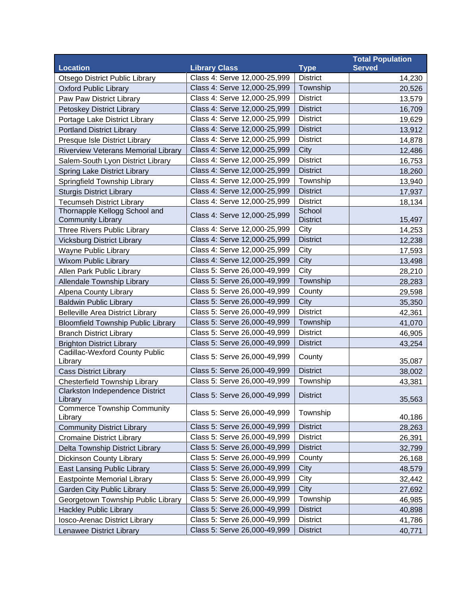|                                            |                              |                 | <b>Total Population</b> |
|--------------------------------------------|------------------------------|-----------------|-------------------------|
| <b>Location</b>                            | <b>Library Class</b>         | <b>Type</b>     | <b>Served</b>           |
| Otsego District Public Library             | Class 4: Serve 12,000-25,999 | <b>District</b> | 14,230                  |
| <b>Oxford Public Library</b>               | Class 4: Serve 12,000-25,999 | Township        | 20,526                  |
| Paw Paw District Library                   | Class 4: Serve 12,000-25,999 | <b>District</b> | 13,579                  |
| Petoskey District Library                  | Class 4: Serve 12,000-25,999 | <b>District</b> | 16,709                  |
| Portage Lake District Library              | Class 4: Serve 12,000-25,999 | <b>District</b> | 19,629                  |
| <b>Portland District Library</b>           | Class 4: Serve 12,000-25,999 | <b>District</b> | 13,912                  |
| Presque Isle District Library              | Class 4: Serve 12,000-25,999 | <b>District</b> | 14,878                  |
| Riverview Veterans Memorial Library        | Class 4: Serve 12,000-25,999 | City            | 12,486                  |
| Salem-South Lyon District Library          | Class 4: Serve 12,000-25,999 | <b>District</b> | 16,753                  |
| Spring Lake District Library               | Class 4: Serve 12,000-25,999 | <b>District</b> | 18,260                  |
| Springfield Township Library               | Class 4: Serve 12,000-25,999 | Township        | 13,940                  |
| <b>Sturgis District Library</b>            | Class 4: Serve 12,000-25,999 | <b>District</b> | 17,937                  |
| <b>Tecumseh District Library</b>           | Class 4: Serve 12,000-25,999 | <b>District</b> | 18,134                  |
| Thornapple Kellogg School and              | Class 4: Serve 12,000-25,999 | School          |                         |
| <b>Community Library</b>                   |                              | <b>District</b> | 15,497                  |
| Three Rivers Public Library                | Class 4: Serve 12,000-25,999 | City            | 14,253                  |
| <b>Vicksburg District Library</b>          | Class 4: Serve 12,000-25,999 | <b>District</b> | 12,238                  |
| Wayne Public Library                       | Class 4: Serve 12,000-25,999 | City            | 17,593                  |
| <b>Wixom Public Library</b>                | Class 4: Serve 12,000-25,999 | <b>City</b>     | 13,498                  |
| Allen Park Public Library                  | Class 5: Serve 26,000-49,999 | City            | 28,210                  |
| Allendale Township Library                 | Class 5: Serve 26,000-49,999 | Township        | 28,283                  |
| Alpena County Library                      | Class 5: Serve 26,000-49,999 | County          | 29,598                  |
| <b>Baldwin Public Library</b>              | Class 5: Serve 26,000-49,999 | City            | 35,350                  |
| <b>Belleville Area District Library</b>    | Class 5: Serve 26,000-49,999 | <b>District</b> | 42,361                  |
| <b>Bloomfield Township Public Library</b>  | Class 5: Serve 26,000-49,999 | Township        | 41,070                  |
| <b>Branch District Library</b>             | Class 5: Serve 26,000-49,999 | <b>District</b> | 46,905                  |
| <b>Brighton District Library</b>           | Class 5: Serve 26,000-49,999 | <b>District</b> | 43,254                  |
| Cadillac-Wexford County Public<br>Library  | Class 5: Serve 26,000-49,999 | County          | 35,087                  |
| <b>Cass District Library</b>               | Class 5: Serve 26,000-49,999 | <b>District</b> | 38,002                  |
| Chesterfield Township Library              | Class 5: Serve 26,000-49,999 | Township        | 43,381                  |
| Clarkston Independence District<br>Library | Class 5: Serve 26,000-49,999 | <b>District</b> |                         |
| <b>Commerce Township Community</b>         |                              |                 | 35,563                  |
| Library                                    | Class 5: Serve 26,000-49,999 | Township        | 40,186                  |
| <b>Community District Library</b>          | Class 5: Serve 26,000-49,999 | <b>District</b> | 28,263                  |
| <b>Cromaine District Library</b>           | Class 5: Serve 26,000-49,999 | <b>District</b> | 26,391                  |
| Delta Township District Library            | Class 5: Serve 26,000-49,999 | <b>District</b> | 32,799                  |
| <b>Dickinson County Library</b>            | Class 5: Serve 26,000-49,999 | County          | 26,168                  |
| <b>East Lansing Public Library</b>         | Class 5: Serve 26,000-49,999 | City            | 48,579                  |
| <b>Eastpointe Memorial Library</b>         | Class 5: Serve 26,000-49,999 | City            | 32,442                  |
| <b>Garden City Public Library</b>          | Class 5: Serve 26,000-49,999 | City            | 27,692                  |
| Georgetown Township Public Library         | Class 5: Serve 26,000-49,999 | Township        | 46,985                  |
| <b>Hackley Public Library</b>              | Class 5: Serve 26,000-49,999 | <b>District</b> | 40,898                  |
| Iosco-Arenac District Library              | Class 5: Serve 26,000-49,999 | <b>District</b> | 41,786                  |
| Lenawee District Library                   | Class 5: Serve 26,000-49,999 | <b>District</b> | 40,771                  |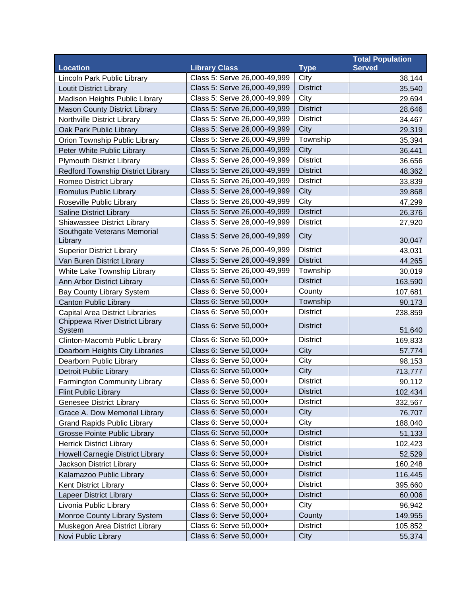|                                           |                              |                 | <b>Total Population</b> |
|-------------------------------------------|------------------------------|-----------------|-------------------------|
| <b>Location</b>                           | <b>Library Class</b>         | <b>Type</b>     | <b>Served</b>           |
| Lincoln Park Public Library               | Class 5: Serve 26,000-49,999 | City            | 38,144                  |
| <b>Loutit District Library</b>            | Class 5: Serve 26,000-49,999 | <b>District</b> | 35,540                  |
| Madison Heights Public Library            | Class 5: Serve 26,000-49,999 | City            | 29,694                  |
| <b>Mason County District Library</b>      | Class 5: Serve 26,000-49,999 | <b>District</b> | 28,646                  |
| Northville District Library               | Class 5: Serve 26,000-49,999 | <b>District</b> | 34,467                  |
| Oak Park Public Library                   | Class 5: Serve 26,000-49,999 | City            | 29,319                  |
| Orion Township Public Library             | Class 5: Serve 26,000-49,999 | Township        | 35,394                  |
| Peter White Public Library                | Class 5: Serve 26,000-49,999 | City            | 36,441                  |
| <b>Plymouth District Library</b>          | Class 5: Serve 26,000-49,999 | <b>District</b> | 36,656                  |
| <b>Redford Township District Library</b>  | Class 5: Serve 26,000-49,999 | <b>District</b> | 48,362                  |
| Romeo District Library                    | Class 5: Serve 26,000-49,999 | <b>District</b> | 33,839                  |
| Romulus Public Library                    | Class 5: Serve 26,000-49,999 | City            | 39,868                  |
| Roseville Public Library                  | Class 5: Serve 26,000-49,999 | City            | 47,299                  |
| <b>Saline District Library</b>            | Class 5: Serve 26,000-49,999 | <b>District</b> | 26,376                  |
| Shiawassee District Library               | Class 5: Serve 26,000-49,999 | <b>District</b> | 27,920                  |
| Southgate Veterans Memorial<br>Library    | Class 5: Serve 26,000-49,999 | City            | 30,047                  |
| <b>Superior District Library</b>          | Class 5: Serve 26,000-49,999 | <b>District</b> | 43,031                  |
| Van Buren District Library                | Class 5: Serve 26,000-49,999 | <b>District</b> | 44,265                  |
| White Lake Township Library               | Class 5: Serve 26,000-49,999 | Township        | 30,019                  |
| Ann Arbor District Library                | Class 6: Serve 50,000+       | <b>District</b> | 163,590                 |
| Bay County Library System                 | Class 6: Serve 50,000+       | County          | 107,681                 |
| <b>Canton Public Library</b>              | Class 6: Serve 50,000+       | Township        | 90,173                  |
| <b>Capital Area District Libraries</b>    | Class 6: Serve 50,000+       | <b>District</b> | 238,859                 |
| Chippewa River District Library<br>System | Class 6: Serve 50,000+       | <b>District</b> | 51,640                  |
| Clinton-Macomb Public Library             | Class 6: Serve 50,000+       | <b>District</b> | 169,833                 |
| Dearborn Heights City Libraries           | Class 6: Serve 50,000+       | City            | 57,774                  |
| Dearborn Public Library                   | Class 6: Serve 50,000+       | City            | 98,153                  |
| <b>Detroit Public Library</b>             | Class 6: Serve 50,000+       | City            | 713,777                 |
| Farmington Community Library              | Class 6: Serve 50,000+       | <b>District</b> | 90,112                  |
| Flint Public Library                      | Class 6: Serve 50,000+       | <b>District</b> | 102,434                 |
| Genesee District Library                  | Class 6: Serve 50,000+       | <b>District</b> | 332,567                 |
| Grace A. Dow Memorial Library             | Class 6: Serve 50,000+       | City            | 76,707                  |
| <b>Grand Rapids Public Library</b>        | Class 6: Serve 50,000+       | City            | 188,040                 |
| Grosse Pointe Public Library              | Class 6: Serve 50,000+       | <b>District</b> | 51,133                  |
| <b>Herrick District Library</b>           | Class 6: Serve 50,000+       | <b>District</b> | 102,423                 |
| <b>Howell Carnegie District Library</b>   | Class 6: Serve 50,000+       | <b>District</b> | 52,529                  |
| Jackson District Library                  | Class 6: Serve 50,000+       | <b>District</b> | 160,248                 |
| Kalamazoo Public Library                  | Class 6: Serve 50,000+       | <b>District</b> | 116,445                 |
| <b>Kent District Library</b>              | Class 6: Serve 50,000+       | <b>District</b> | 395,660                 |
| <b>Lapeer District Library</b>            | Class 6: Serve 50,000+       | <b>District</b> | 60,006                  |
| Livonia Public Library                    | Class 6: Serve 50,000+       | City            | 96,942                  |
| Monroe County Library System              | Class 6: Serve 50,000+       | County          | 149,955                 |
| Muskegon Area District Library            | Class 6: Serve 50,000+       | <b>District</b> | 105,852                 |
| Novi Public Library                       | Class 6: Serve 50,000+       | City            | 55,374                  |